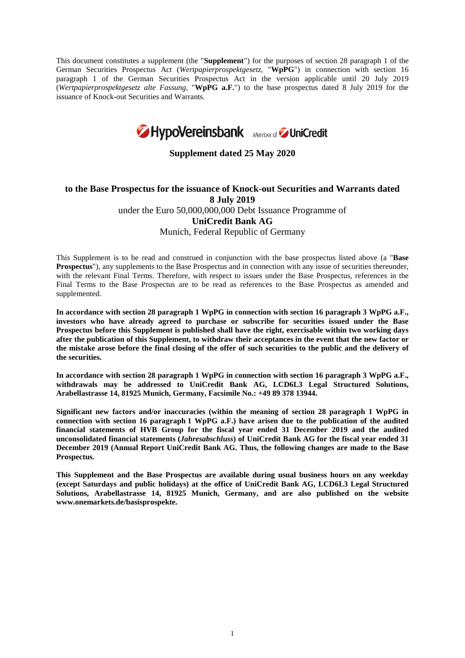This document constitutes a supplement (the "**Supplement**") for the purposes of section 28 paragraph 1 of the German Securities Prospectus Act (*Wertpapierprospektgesetz*, "**WpPG**") in connection with section 16 paragraph 1 of the German Securities Prospectus Act in the version applicable until 20 July 2019 (*Wertpapierprospektgesetz alte Fassung*, "**WpPG a.F.**") to the base prospectus dated 8 July 2019 for the issuance of Knock-out Securities and Warrants.



**Supplement dated 25 May 2020** 

# **to the Base Prospectus for the issuance of Knock-out Securities and Warrants dated 8 July 2019**  under the Euro 50,000,000,000 Debt Issuance Programme of **UniCredit Bank AG** Munich, Federal Republic of Germany

This Supplement is to be read and construed in conjunction with the base prospectus listed above (a "**Base Prospectus**"), any supplements to the Base Prospectus and in connection with any issue of securities thereunder, with the relevant Final Terms. Therefore, with respect to issues under the Base Prospectus, references in the Final Terms to the Base Prospectus are to be read as references to the Base Prospectus as amended and supplemented.

**In accordance with section 28 paragraph 1 WpPG in connection with section 16 paragraph 3 WpPG a.F., investors who have already agreed to purchase or subscribe for securities issued under the Base Prospectus before this Supplement is published shall have the right, exercisable within two working days after the publication of this Supplement, to withdraw their acceptances in the event that the new factor or the mistake arose before the final closing of the offer of such securities to the public and the delivery of the securities.** 

**In accordance with section 28 paragraph 1 WpPG in connection with section 16 paragraph 3 WpPG a.F., withdrawals may be addressed to UniCredit Bank AG, LCD6L3 Legal Structured Solutions, Arabellastrasse 14, 81925 Munich, Germany, Facsimile No.: +49 89 378 13944.** 

**Significant new factors and/or inaccuracies (within the meaning of section 28 paragraph 1 WpPG in connection with section 16 paragraph 1 WpPG a.F.) have arisen due to the publication of the audited financial statements of HVB Group for the fiscal year ended 31 December 2019 and the audited unconsolidated financial statements (***Jahresabschluss***) of UniCredit Bank AG for the fiscal year ended 31 December 2019 (Annual Report UniCredit Bank AG. Thus, the following changes are made to the Base Prospectus.** 

**This Supplement and the Base Prospectus are available during usual business hours on any weekday (except Saturdays and public holidays) at the office of UniCredit Bank AG, LCD6L3 Legal Structured Solutions, Arabellastrasse 14, 81925 Munich, Germany, and are also published on the website www.onemarkets.de/basisprospekte.**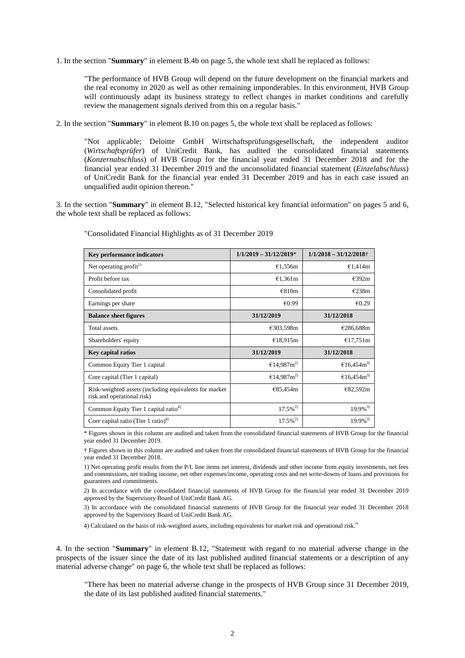1. In the section "**Summary**" in element B.4b on page 5, the whole text shall be replaced as follows:

"The performance of HVB Group will depend on the future development on the financial markets and the real economy in 2020 as well as other remaining imponderables. In this environment, HVB Group will continuously adapt its business strategy to reflect changes in market conditions and carefully review the management signals derived from this on a regular basis."

2. In the section "**Summary**" in element B.10 on pages 5, the whole text shall be replaced as follows:

"Not applicable; Deloitte GmbH Wirtschaftsprüfungsgesellschaft, the independent auditor (*Wirtschaftsprüfer*) of UniCredit Bank, has audited the consolidated financial statements (*Konzernabschluss*) of HVB Group for the financial year ended 31 December 2018 and for the financial year ended 31 December 2019 and the unconsolidated financial statement (*Einzelabschluss*) of UniCredit Bank for the financial year ended 31 December 2019 and has in each case issued an unqualified audit opinion thereon."

3. In the section "**Summary**" in element B.12, "Selected historical key financial information" on pages 5 and 6, the whole text shall be replaced as follows:

| Key performance indicators                                                           | $1/1/2019 - 31/12/2019*$  | $1/1/2018 - 31/12/2018$ † |
|--------------------------------------------------------------------------------------|---------------------------|---------------------------|
| Net operating profit <sup>1)</sup>                                                   | €1,556m                   | €1,414m                   |
| Profit before tax                                                                    | €1,361m                   | €392m                     |
| Consolidated profit                                                                  | €810m                     | E238m                     |
| Earnings per share                                                                   | €0.99                     | €0.29                     |
| <b>Balance sheet figures</b>                                                         | 31/12/2019                | 31/12/2018                |
| Total assets                                                                         | €303,598m                 | €286,688m                 |
| Shareholders' equity                                                                 | €18,915m                  | €17,751m                  |
| <b>Key capital ratios</b>                                                            | 31/12/2019                | 31/12/2018                |
| Common Equity Tier 1 capital                                                         | €14,987 $m$ <sup>2)</sup> | €16,454 $m$ <sup>3)</sup> |
| Core capital (Tier 1 capital)                                                        | €14,987 $m$ <sup>2)</sup> | €16,454 $m$ <sup>3)</sup> |
| Risk-weighted assets (including equivalents for market<br>risk and operational risk) | €85,454m                  | €82,592m                  |
| Common Equity Tier 1 capital ratio <sup>4)</sup>                                     | $17.5\%^{2}$              | $19.9\%$ <sup>3)</sup>    |
| Core capital ratio (Tier 1 ratio) <sup>4)</sup>                                      | $17.5\%$ <sup>2)</sup>    | $19.9\%$ <sup>3)</sup>    |

"Consolidated Financial Highlights as of 31 December 2019

\* Figures shown in this column are audited and taken from the consolidated financial statements of HVB Group for the financial year ended 31 December 2019.

† Figures shown in this column are audited and taken from the consolidated financial statements of HVB Group for the financial year ended 31 December 2018.

1) Net operating profit results from the P/L line items net interest, dividends and other income from equity investments, net fees and commissions, net trading income, net other expenses/income, operating costs and net write-downs of loans and provisions for guarantees and commitments.

2) In accordance with the consolidated financial statements of HVB Group for the financial year ended 31 December 2019 approved by the Supervisory Board of UniCredit Bank AG.

3) In accordance with the consolidated financial statements of HVB Group for the financial year ended 31 December 2018 approved by the Supervisory Board of UniCredit Bank AG.

4) Calculated on the basis of risk-weighted assets, including equivalents for market risk and operational risk."

4. In the section "**Summary**" in element B.12, "Statement with regard to no material adverse change in the prospects of the issuer since the date of its last published audited financial statements or a description of any material adverse change" on page 6, the whole text shall be replaced as follows:

"There has been no material adverse change in the prospects of HVB Group since 31 December 2019, the date of its last published audited financial statements."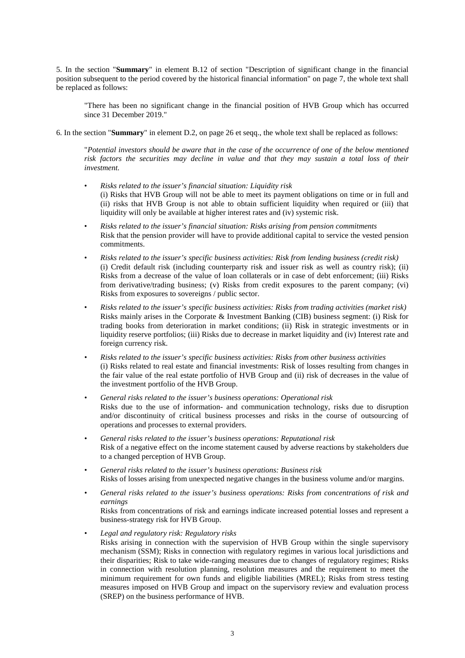5. In the section "**Summary**" in element B.12 of section "Description of significant change in the financial position subsequent to the period covered by the historical financial information" on page 7, the whole text shall be replaced as follows:

"There has been no significant change in the financial position of HVB Group which has occurred since 31 December 2019."

6. In the section "**Summary**" in element D.2, on page 26 et seqq., the whole text shall be replaced as follows:

"*Potential investors should be aware that in the case of the occurrence of one of the below mentioned risk factors the securities may decline in value and that they may sustain a total loss of their investment.* 

- *Risks related to the issuer's financial situation: Liquidity risk*  (i) Risks that HVB Group will not be able to meet its payment obligations on time or in full and (ii) risks that HVB Group is not able to obtain sufficient liquidity when required or (iii) that liquidity will only be available at higher interest rates and (iv) systemic risk.
- *Risks related to the issuer's financial situation: Risks arising from pension commitments* Risk that the pension provider will have to provide additional capital to service the vested pension commitments.
- *Risks related to the issuer's specific business activities: Risk from lending business (credit risk)* (i) Credit default risk (including counterparty risk and issuer risk as well as country risk); (ii) Risks from a decrease of the value of loan collaterals or in case of debt enforcement; (iii) Risks from derivative/trading business; (v) Risks from credit exposures to the parent company; (vi) Risks from exposures to sovereigns / public sector.
- *Risks related to the issuer's specific business activities: Risks from trading activities (market risk)*  Risks mainly arises in the Corporate & Investment Banking (CIB) business segment: (i) Risk for trading books from deterioration in market conditions; (ii) Risk in strategic investments or in liquidity reserve portfolios; (iii) Risks due to decrease in market liquidity and (iv) Interest rate and foreign currency risk.
- *Risks related to the issuer's specific business activities: Risks from other business activities*  (i) Risks related to real estate and financial investments: Risk of losses resulting from changes in the fair value of the real estate portfolio of HVB Group and (ii) risk of decreases in the value of the investment portfolio of the HVB Group.
- *General risks related to the issuer's business operations: Operational risk*  Risks due to the use of information- and communication technology, risks due to disruption and/or discontinuity of critical business processes and risks in the course of outsourcing of operations and processes to external providers.
- *General risks related to the issuer's business operations: Reputational risk*  Risk of a negative effect on the income statement caused by adverse reactions by stakeholders due to a changed perception of HVB Group.
- *General risks related to the issuer's business operations: Business risk* Risks of losses arising from unexpected negative changes in the business volume and/or margins.
- *General risks related to the issuer's business operations: Risks from concentrations of risk and earnings*  Risks from concentrations of risk and earnings indicate increased potential losses and represent a business-strategy risk for HVB Group.
- *Legal and regulatory risk: Regulatory risks*  Risks arising in connection with the supervision of HVB Group within the single supervisory mechanism (SSM); Risks in connection with regulatory regimes in various local jurisdictions and their disparities; Risk to take wide-ranging measures due to changes of regulatory regimes; Risks in connection with resolution planning, resolution measures and the requirement to meet the minimum requirement for own funds and eligible liabilities (MREL); Risks from stress testing measures imposed on HVB Group and impact on the supervisory review and evaluation process (SREP) on the business performance of HVB.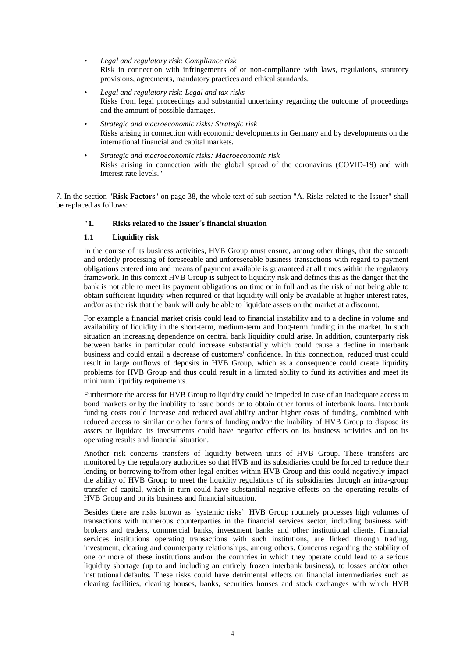- *Legal and regulatory risk: Compliance risk* Risk in connection with infringements of or non-compliance with laws, regulations, statutory provisions, agreements, mandatory practices and ethical standards.
- *Legal and regulatory risk: Legal and tax risks* Risks from legal proceedings and substantial uncertainty regarding the outcome of proceedings and the amount of possible damages.
- *Strategic and macroeconomic risks: Strategic risk*  Risks arising in connection with economic developments in Germany and by developments on the international financial and capital markets.
- *Strategic and macroeconomic risks: Macroeconomic risk*  Risks arising in connection with the global spread of the coronavirus (COVID-19) and with interest rate levels."

7. In the section "**Risk Factors**" on page 38, the whole text of sub-section "A. Risks related to the Issuer" shall be replaced as follows:

# **"1. Risks related to the Issuer´s financial situation**

# **1.1 Liquidity risk**

In the course of its business activities, HVB Group must ensure, among other things, that the smooth and orderly processing of foreseeable and unforeseeable business transactions with regard to payment obligations entered into and means of payment available is guaranteed at all times within the regulatory framework. In this context HVB Group is subject to liquidity risk and defines this as the danger that the bank is not able to meet its payment obligations on time or in full and as the risk of not being able to obtain sufficient liquidity when required or that liquidity will only be available at higher interest rates, and/or as the risk that the bank will only be able to liquidate assets on the market at a discount.

For example a financial market crisis could lead to financial instability and to a decline in volume and availability of liquidity in the short-term, medium-term and long-term funding in the market. In such situation an increasing dependence on central bank liquidity could arise. In addition, counterparty risk between banks in particular could increase substantially which could cause a decline in interbank business and could entail a decrease of customers' confidence. In this connection, reduced trust could result in large outflows of deposits in HVB Group, which as a consequence could create liquidity problems for HVB Group and thus could result in a limited ability to fund its activities and meet its minimum liquidity requirements.

Furthermore the access for HVB Group to liquidity could be impeded in case of an inadequate access to bond markets or by the inability to issue bonds or to obtain other forms of interbank loans. Interbank funding costs could increase and reduced availability and/or higher costs of funding, combined with reduced access to similar or other forms of funding and/or the inability of HVB Group to dispose its assets or liquidate its investments could have negative effects on its business activities and on its operating results and financial situation.

Another risk concerns transfers of liquidity between units of HVB Group. These transfers are monitored by the regulatory authorities so that HVB and its subsidiaries could be forced to reduce their lending or borrowing to/from other legal entities within HVB Group and this could negatively impact the ability of HVB Group to meet the liquidity regulations of its subsidiaries through an intra-group transfer of capital, which in turn could have substantial negative effects on the operating results of HVB Group and on its business and financial situation.

Besides there are risks known as 'systemic risks'. HVB Group routinely processes high volumes of transactions with numerous counterparties in the financial services sector, including business with brokers and traders, commercial banks, investment banks and other institutional clients. Financial services institutions operating transactions with such institutions, are linked through trading, investment, clearing and counterparty relationships, among others. Concerns regarding the stability of one or more of these institutions and/or the countries in which they operate could lead to a serious liquidity shortage (up to and including an entirely frozen interbank business), to losses and/or other institutional defaults. These risks could have detrimental effects on financial intermediaries such as clearing facilities, clearing houses, banks, securities houses and stock exchanges with which HVB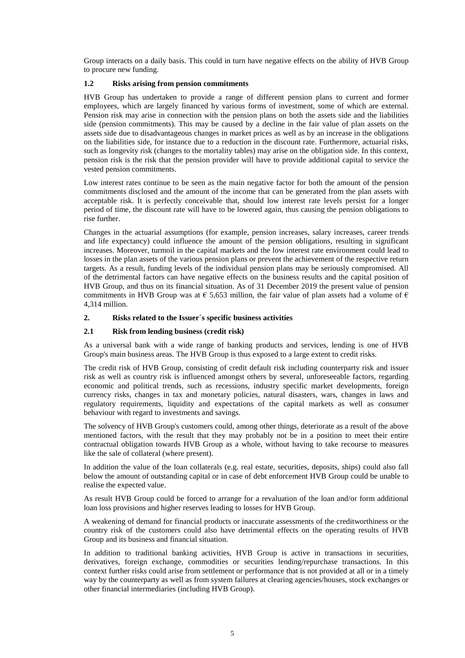Group interacts on a daily basis. This could in turn have negative effects on the ability of HVB Group to procure new funding.

# **1.2 Risks arising from pension commitments**

HVB Group has undertaken to provide a range of different pension plans to current and former employees, which are largely financed by various forms of investment, some of which are external. Pension risk may arise in connection with the pension plans on both the assets side and the liabilities side (pension commitments). This may be caused by a decline in the fair value of plan assets on the assets side due to disadvantageous changes in market prices as well as by an increase in the obligations on the liabilities side, for instance due to a reduction in the discount rate. Furthermore, actuarial risks, such as longevity risk (changes to the mortality tables) may arise on the obligation side. In this context, pension risk is the risk that the pension provider will have to provide additional capital to service the vested pension commitments.

Low interest rates continue to be seen as the main negative factor for both the amount of the pension commitments disclosed and the amount of the income that can be generated from the plan assets with acceptable risk. It is perfectly conceivable that, should low interest rate levels persist for a longer period of time, the discount rate will have to be lowered again, thus causing the pension obligations to rise further.

Changes in the actuarial assumptions (for example, pension increases, salary increases, career trends and life expectancy) could influence the amount of the pension obligations, resulting in significant increases. Moreover, turmoil in the capital markets and the low interest rate environment could lead to losses in the plan assets of the various pension plans or prevent the achievement of the respective return targets. As a result, funding levels of the individual pension plans may be seriously compromised. All of the detrimental factors can have negative effects on the business results and the capital position of HVB Group, and thus on its financial situation. As of 31 December 2019 the present value of pension commitments in HVB Group was at  $\epsilon$  5,653 million, the fair value of plan assets had a volume of  $\epsilon$ 4,314 million.

# **2. Risks related to the Issuer´s specific business activities**

# **2.1 Risk from lending business (credit risk)**

As a universal bank with a wide range of banking products and services, lending is one of HVB Group's main business areas. The HVB Group is thus exposed to a large extent to credit risks.

The credit risk of HVB Group, consisting of credit default risk including counterparty risk and issuer risk as well as country risk is influenced amongst others by several, unforeseeable factors, regarding economic and political trends, such as recessions, industry specific market developments, foreign currency risks, changes in tax and monetary policies, natural disasters, wars, changes in laws and regulatory requirements, liquidity and expectations of the capital markets as well as consumer behaviour with regard to investments and savings.

The solvency of HVB Group's customers could, among other things, deteriorate as a result of the above mentioned factors, with the result that they may probably not be in a position to meet their entire contractual obligation towards HVB Group as a whole, without having to take recourse to measures like the sale of collateral (where present).

In addition the value of the loan collaterals (e.g. real estate, securities, deposits, ships) could also fall below the amount of outstanding capital or in case of debt enforcement HVB Group could be unable to realise the expected value.

As result HVB Group could be forced to arrange for a revaluation of the loan and/or form additional loan loss provisions and higher reserves leading to losses for HVB Group.

A weakening of demand for financial products or inaccurate assessments of the creditworthiness or the country risk of the customers could also have detrimental effects on the operating results of HVB Group and its business and financial situation.

In addition to traditional banking activities, HVB Group is active in transactions in securities, derivatives, foreign exchange, commodities or securities lending/repurchase transactions. In this context further risks could arise from settlement or performance that is not provided at all or in a timely way by the counterparty as well as from system failures at clearing agencies/houses, stock exchanges or other financial intermediaries (including HVB Group).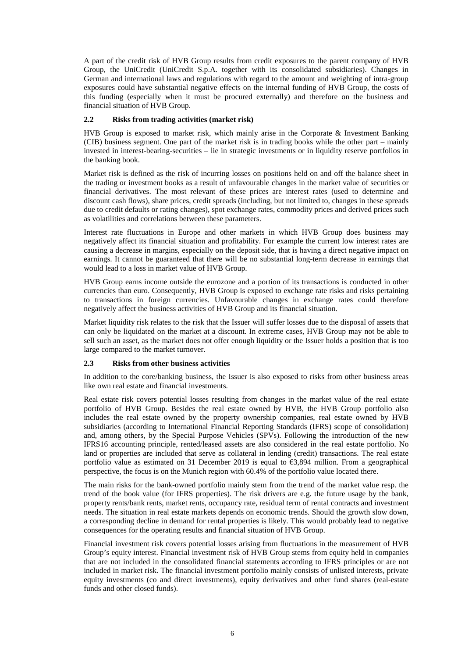A part of the credit risk of HVB Group results from credit exposures to the parent company of HVB Group, the UniCredit (UniCredit S.p.A. together with its consolidated subsidiaries). Changes in German and international laws and regulations with regard to the amount and weighting of intra-group exposures could have substantial negative effects on the internal funding of HVB Group, the costs of this funding (especially when it must be procured externally) and therefore on the business and financial situation of HVB Group.

# **2.2 Risks from trading activities (market risk)**

HVB Group is exposed to market risk, which mainly arise in the Corporate & Investment Banking (CIB) business segment. One part of the market risk is in trading books while the other part – mainly invested in interest-bearing-securities – lie in strategic investments or in liquidity reserve portfolios in the banking book.

Market risk is defined as the risk of incurring losses on positions held on and off the balance sheet in the trading or investment books as a result of unfavourable changes in the market value of securities or financial derivatives. The most relevant of these prices are interest rates (used to determine and discount cash flows), share prices, credit spreads (including, but not limited to, changes in these spreads due to credit defaults or rating changes), spot exchange rates, commodity prices and derived prices such as volatilities and correlations between these parameters.

Interest rate fluctuations in Europe and other markets in which HVB Group does business may negatively affect its financial situation and profitability. For example the current low interest rates are causing a decrease in margins, especially on the deposit side, that is having a direct negative impact on earnings. It cannot be guaranteed that there will be no substantial long-term decrease in earnings that would lead to a loss in market value of HVB Group.

HVB Group earns income outside the eurozone and a portion of its transactions is conducted in other currencies than euro. Consequently, HVB Group is exposed to exchange rate risks and risks pertaining to transactions in foreign currencies. Unfavourable changes in exchange rates could therefore negatively affect the business activities of HVB Group and its financial situation.

Market liquidity risk relates to the risk that the Issuer will suffer losses due to the disposal of assets that can only be liquidated on the market at a discount. In extreme cases, HVB Group may not be able to sell such an asset, as the market does not offer enough liquidity or the Issuer holds a position that is too large compared to the market turnover.

# **2.3 Risks from other business activities**

In addition to the core/banking business, the Issuer is also exposed to risks from other business areas like own real estate and financial investments.

Real estate risk covers potential losses resulting from changes in the market value of the real estate portfolio of HVB Group. Besides the real estate owned by HVB, the HVB Group portfolio also includes the real estate owned by the property ownership companies, real estate owned by HVB subsidiaries (according to International Financial Reporting Standards (IFRS) scope of consolidation) and, among others, by the Special Purpose Vehicles (SPVs). Following the introduction of the new IFRS16 accounting principle, rented/leased assets are also considered in the real estate portfolio. No land or properties are included that serve as collateral in lending (credit) transactions. The real estate portfolio value as estimated on 31 December 2019 is equal to €3,894 million. From a geographical perspective, the focus is on the Munich region with 60.4% of the portfolio value located there.

The main risks for the bank-owned portfolio mainly stem from the trend of the market value resp. the trend of the book value (for IFRS properties). The risk drivers are e.g. the future usage by the bank, property rents/bank rents, market rents, occupancy rate, residual term of rental contracts and investment needs. The situation in real estate markets depends on economic trends. Should the growth slow down, a corresponding decline in demand for rental properties is likely. This would probably lead to negative consequences for the operating results and financial situation of HVB Group.

Financial investment risk covers potential losses arising from fluctuations in the measurement of HVB Group's equity interest. Financial investment risk of HVB Group stems from equity held in companies that are not included in the consolidated financial statements according to IFRS principles or are not included in market risk. The financial investment portfolio mainly consists of unlisted interests, private equity investments (co and direct investments), equity derivatives and other fund shares (real-estate funds and other closed funds).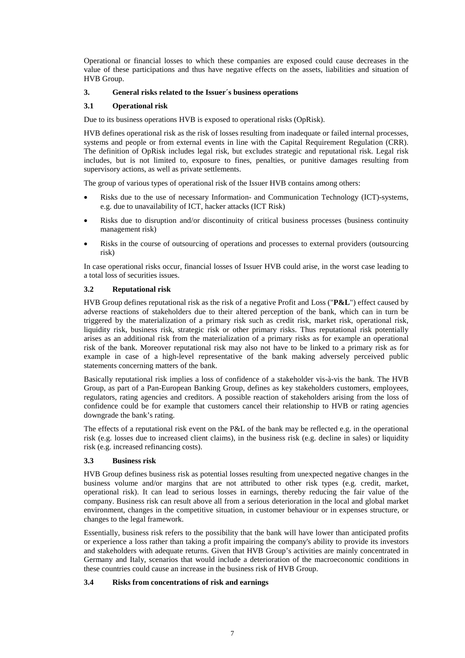Operational or financial losses to which these companies are exposed could cause decreases in the value of these participations and thus have negative effects on the assets, liabilities and situation of HVB Group.

# **3. General risks related to the Issuer´s business operations**

# **3.1 Operational risk**

Due to its business operations HVB is exposed to operational risks (OpRisk).

HVB defines operational risk as the risk of losses resulting from inadequate or failed internal processes, systems and people or from external events in line with the Capital Requirement Regulation (CRR). The definition of OpRisk includes legal risk, but excludes strategic and reputational risk. Legal risk includes, but is not limited to, exposure to fines, penalties, or punitive damages resulting from supervisory actions, as well as private settlements.

The group of various types of operational risk of the Issuer HVB contains among others:

- Risks due to the use of necessary Information- and Communication Technology (ICT)-systems, e.g. due to unavailability of ICT, hacker attacks (ICT Risk)
- Risks due to disruption and/or discontinuity of critical business processes (business continuity management risk)
- Risks in the course of outsourcing of operations and processes to external providers (outsourcing risk)

In case operational risks occur, financial losses of Issuer HVB could arise, in the worst case leading to a total loss of securities issues.

# **3.2 Reputational risk**

HVB Group defines reputational risk as the risk of a negative Profit and Loss ("**P&L**") effect caused by adverse reactions of stakeholders due to their altered perception of the bank, which can in turn be triggered by the materialization of a primary risk such as credit risk, market risk, operational risk, liquidity risk, business risk, strategic risk or other primary risks. Thus reputational risk potentially arises as an additional risk from the materialization of a primary risks as for example an operational risk of the bank. Moreover reputational risk may also not have to be linked to a primary risk as for example in case of a high-level representative of the bank making adversely perceived public statements concerning matters of the bank.

Basically reputational risk implies a loss of confidence of a stakeholder vis-à-vis the bank. The HVB Group, as part of a Pan-European Banking Group, defines as key stakeholders customers, employees, regulators, rating agencies and creditors. A possible reaction of stakeholders arising from the loss of confidence could be for example that customers cancel their relationship to HVB or rating agencies downgrade the bank's rating.

The effects of a reputational risk event on the P&L of the bank may be reflected e.g. in the operational risk (e.g. losses due to increased client claims), in the business risk (e.g. decline in sales) or liquidity risk (e.g. increased refinancing costs).

# **3.3 Business risk**

HVB Group defines business risk as potential losses resulting from unexpected negative changes in the business volume and/or margins that are not attributed to other risk types (e.g. credit, market, operational risk). It can lead to serious losses in earnings, thereby reducing the fair value of the company. Business risk can result above all from a serious deterioration in the local and global market environment, changes in the competitive situation, in customer behaviour or in expenses structure, or changes to the legal framework.

Essentially, business risk refers to the possibility that the bank will have lower than anticipated profits or experience a loss rather than taking a profit impairing the company's ability to provide its investors and stakeholders with adequate returns. Given that HVB Group's activities are mainly concentrated in Germany and Italy, scenarios that would include a deterioration of the macroeconomic conditions in these countries could cause an increase in the business risk of HVB Group.

# **3.4 Risks from concentrations of risk and earnings**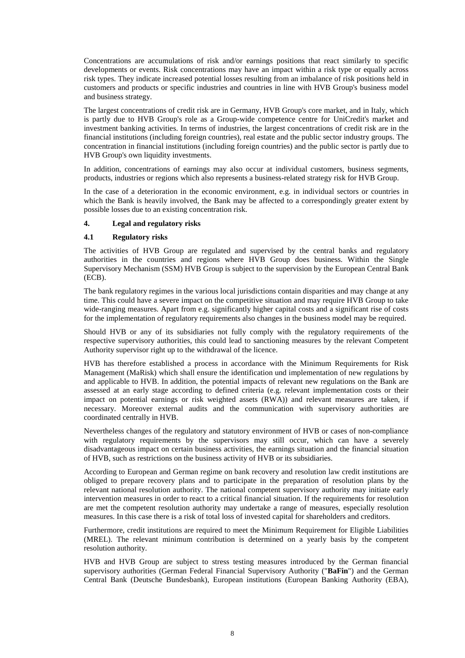Concentrations are accumulations of risk and/or earnings positions that react similarly to specific developments or events. Risk concentrations may have an impact within a risk type or equally across risk types. They indicate increased potential losses resulting from an imbalance of risk positions held in customers and products or specific industries and countries in line with HVB Group's business model and business strategy.

The largest concentrations of credit risk are in Germany, HVB Group's core market, and in Italy, which is partly due to HVB Group's role as a Group-wide competence centre for UniCredit's market and investment banking activities. In terms of industries, the largest concentrations of credit risk are in the financial institutions (including foreign countries), real estate and the public sector industry groups. The concentration in financial institutions (including foreign countries) and the public sector is partly due to HVB Group's own liquidity investments.

In addition, concentrations of earnings may also occur at individual customers, business segments, products, industries or regions which also represents a business-related strategy risk for HVB Group.

In the case of a deterioration in the economic environment, e.g. in individual sectors or countries in which the Bank is heavily involved, the Bank may be affected to a correspondingly greater extent by possible losses due to an existing concentration risk.

### **4. Legal and regulatory risks**

### **4.1 Regulatory risks**

The activities of HVB Group are regulated and supervised by the central banks and regulatory authorities in the countries and regions where HVB Group does business. Within the Single Supervisory Mechanism (SSM) HVB Group is subject to the supervision by the European Central Bank (ECB).

The bank regulatory regimes in the various local jurisdictions contain disparities and may change at any time. This could have a severe impact on the competitive situation and may require HVB Group to take wide-ranging measures. Apart from e.g. significantly higher capital costs and a significant rise of costs for the implementation of regulatory requirements also changes in the business model may be required.

Should HVB or any of its subsidiaries not fully comply with the regulatory requirements of the respective supervisory authorities, this could lead to sanctioning measures by the relevant Competent Authority supervisor right up to the withdrawal of the licence.

HVB has therefore established a process in accordance with the Minimum Requirements for Risk Management (MaRisk) which shall ensure the identification und implementation of new regulations by and applicable to HVB. In addition, the potential impacts of relevant new regulations on the Bank are assessed at an early stage according to defined criteria (e.g. relevant implementation costs or their impact on potential earnings or risk weighted assets (RWA)) and relevant measures are taken, if necessary. Moreover external audits and the communication with supervisory authorities are coordinated centrally in HVB.

Nevertheless changes of the regulatory and statutory environment of HVB or cases of non-compliance with regulatory requirements by the supervisors may still occur, which can have a severely disadvantageous impact on certain business activities, the earnings situation and the financial situation of HVB, such as restrictions on the business activity of HVB or its subsidiaries.

According to European and German regime on bank recovery and resolution law credit institutions are obliged to prepare recovery plans and to participate in the preparation of resolution plans by the relevant national resolution authority. The national competent supervisory authority may initiate early intervention measures in order to react to a critical financial situation. If the requirements for resolution are met the competent resolution authority may undertake a range of measures, especially resolution measures. In this case there is a risk of total loss of invested capital for shareholders and creditors.

Furthermore, credit institutions are required to meet the Minimum Requirement for Eligible Liabilities (MREL). The relevant minimum contribution is determined on a yearly basis by the competent resolution authority.

HVB and HVB Group are subject to stress testing measures introduced by the German financial supervisory authorities (German Federal Financial Supervisory Authority ("**BaFin**") and the German Central Bank (Deutsche Bundesbank), European institutions (European Banking Authority (EBA),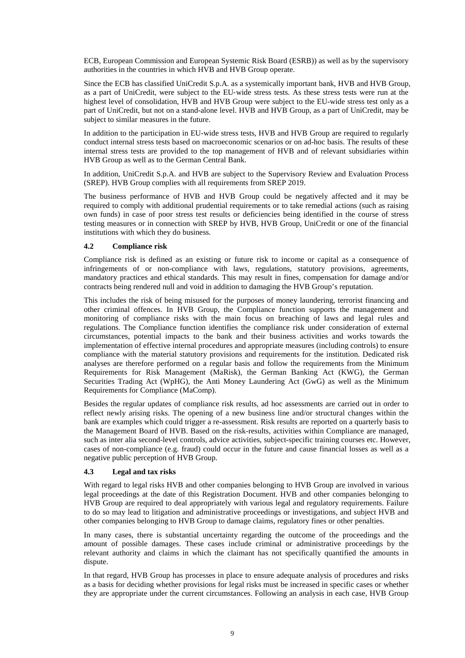ECB, European Commission and European Systemic Risk Board (ESRB)) as well as by the supervisory authorities in the countries in which HVB and HVB Group operate.

Since the ECB has classified UniCredit S.p.A. as a systemically important bank, HVB and HVB Group, as a part of UniCredit, were subject to the EU-wide stress tests. As these stress tests were run at the highest level of consolidation, HVB and HVB Group were subject to the EU-wide stress test only as a part of UniCredit, but not on a stand-alone level. HVB and HVB Group, as a part of UniCredit, may be subject to similar measures in the future.

In addition to the participation in EU-wide stress tests, HVB and HVB Group are required to regularly conduct internal stress tests based on macroeconomic scenarios or on ad-hoc basis. The results of these internal stress tests are provided to the top management of HVB and of relevant subsidiaries within HVB Group as well as to the German Central Bank.

In addition, UniCredit S.p.A. and HVB are subject to the Supervisory Review and Evaluation Process (SREP). HVB Group complies with all requirements from SREP 2019.

The business performance of HVB and HVB Group could be negatively affected and it may be required to comply with additional prudential requirements or to take remedial actions (such as raising own funds) in case of poor stress test results or deficiencies being identified in the course of stress testing measures or in connection with SREP by HVB, HVB Group, UniCredit or one of the financial institutions with which they do business.

# **4.2 Compliance risk**

Compliance risk is defined as an existing or future risk to income or capital as a consequence of infringements of or non-compliance with laws, regulations, statutory provisions, agreements, mandatory practices and ethical standards. This may result in fines, compensation for damage and/or contracts being rendered null and void in addition to damaging the HVB Group's reputation.

This includes the risk of being misused for the purposes of money laundering, terrorist financing and other criminal offences. In HVB Group, the Compliance function supports the management and monitoring of compliance risks with the main focus on breaching of laws and legal rules and regulations. The Compliance function identifies the compliance risk under consideration of external circumstances, potential impacts to the bank and their business activities and works towards the implementation of effective internal procedures and appropriate measures (including controls) to ensure compliance with the material statutory provisions and requirements for the institution. Dedicated risk analyses are therefore performed on a regular basis and follow the requirements from the Minimum Requirements for Risk Management (MaRisk), the German Banking Act (KWG), the German Securities Trading Act (WpHG), the Anti Money Laundering Act (GwG) as well as the Minimum Requirements for Compliance (MaComp).

Besides the regular updates of compliance risk results, ad hoc assessments are carried out in order to reflect newly arising risks. The opening of a new business line and/or structural changes within the bank are examples which could trigger a re-assessment. Risk results are reported on a quarterly basis to the Management Board of HVB. Based on the risk-results, activities within Compliance are managed, such as inter alia second-level controls, advice activities, subject-specific training courses etc. However, cases of non-compliance (e.g. fraud) could occur in the future and cause financial losses as well as a negative public perception of HVB Group.

#### **4.3 Legal and tax risks**

With regard to legal risks HVB and other companies belonging to HVB Group are involved in various legal proceedings at the date of this Registration Document. HVB and other companies belonging to HVB Group are required to deal appropriately with various legal and regulatory requirements. Failure to do so may lead to litigation and administrative proceedings or investigations, and subject HVB and other companies belonging to HVB Group to damage claims, regulatory fines or other penalties.

In many cases, there is substantial uncertainty regarding the outcome of the proceedings and the amount of possible damages. These cases include criminal or administrative proceedings by the relevant authority and claims in which the claimant has not specifically quantified the amounts in dispute.

In that regard, HVB Group has processes in place to ensure adequate analysis of procedures and risks as a basis for deciding whether provisions for legal risks must be increased in specific cases or whether they are appropriate under the current circumstances. Following an analysis in each case, HVB Group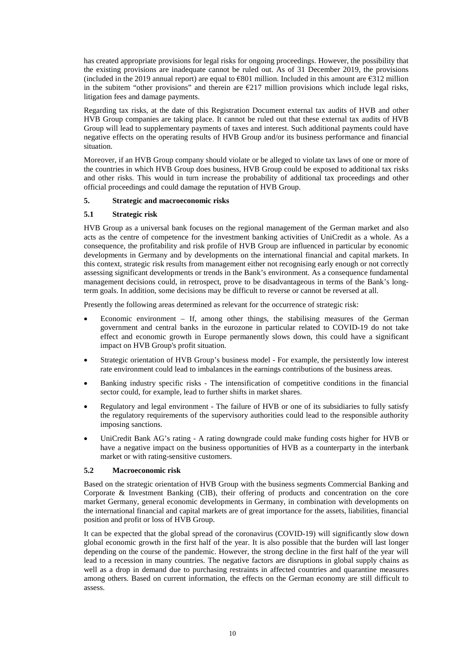has created appropriate provisions for legal risks for ongoing proceedings. However, the possibility that the existing provisions are inadequate cannot be ruled out. As of 31 December 2019, the provisions (included in the 2019 annual report) are equal to  $\epsilon$ 801 million. Included in this amount are  $\epsilon$ 312 million in the subitem "other provisions" and therein are  $\epsilon$ 217 million provisions which include legal risks, litigation fees and damage payments.

Regarding tax risks, at the date of this Registration Document external tax audits of HVB and other HVB Group companies are taking place. It cannot be ruled out that these external tax audits of HVB Group will lead to supplementary payments of taxes and interest. Such additional payments could have negative effects on the operating results of HVB Group and/or its business performance and financial situation.

Moreover, if an HVB Group company should violate or be alleged to violate tax laws of one or more of the countries in which HVB Group does business, HVB Group could be exposed to additional tax risks and other risks. This would in turn increase the probability of additional tax proceedings and other official proceedings and could damage the reputation of HVB Group.

### **5. Strategic and macroeconomic risks**

# **5.1 Strategic risk**

HVB Group as a universal bank focuses on the regional management of the German market and also acts as the centre of competence for the investment banking activities of UniCredit as a whole. As a consequence, the profitability and risk profile of HVB Group are influenced in particular by economic developments in Germany and by developments on the international financial and capital markets. In this context, strategic risk results from management either not recognising early enough or not correctly assessing significant developments or trends in the Bank's environment. As a consequence fundamental management decisions could, in retrospect, prove to be disadvantageous in terms of the Bank's longterm goals. In addition, some decisions may be difficult to reverse or cannot be reversed at all.

Presently the following areas determined as relevant for the occurrence of strategic risk:

- Economic environment If, among other things, the stabilising measures of the German government and central banks in the eurozone in particular related to COVID-19 do not take effect and economic growth in Europe permanently slows down, this could have a significant impact on HVB Group's profit situation.
- Strategic orientation of HVB Group's business model For example, the persistently low interest rate environment could lead to imbalances in the earnings contributions of the business areas.
- Banking industry specific risks The intensification of competitive conditions in the financial sector could, for example, lead to further shifts in market shares.
- Regulatory and legal environment The failure of HVB or one of its subsidiaries to fully satisfy the regulatory requirements of the supervisory authorities could lead to the responsible authority imposing sanctions.
- UniCredit Bank AG's rating A rating downgrade could make funding costs higher for HVB or have a negative impact on the business opportunities of HVB as a counterparty in the interbank market or with rating-sensitive customers.

#### **5.2 Macroeconomic risk**

Based on the strategic orientation of HVB Group with the business segments Commercial Banking and Corporate & Investment Banking (CIB), their offering of products and concentration on the core market Germany, general economic developments in Germany, in combination with developments on the international financial and capital markets are of great importance for the assets, liabilities, financial position and profit or loss of HVB Group.

It can be expected that the global spread of the coronavirus (COVID-19) will significantly slow down global economic growth in the first half of the year. It is also possible that the burden will last longer depending on the course of the pandemic. However, the strong decline in the first half of the year will lead to a recession in many countries. The negative factors are disruptions in global supply chains as well as a drop in demand due to purchasing restraints in affected countries and quarantine measures among others. Based on current information, the effects on the German economy are still difficult to assess.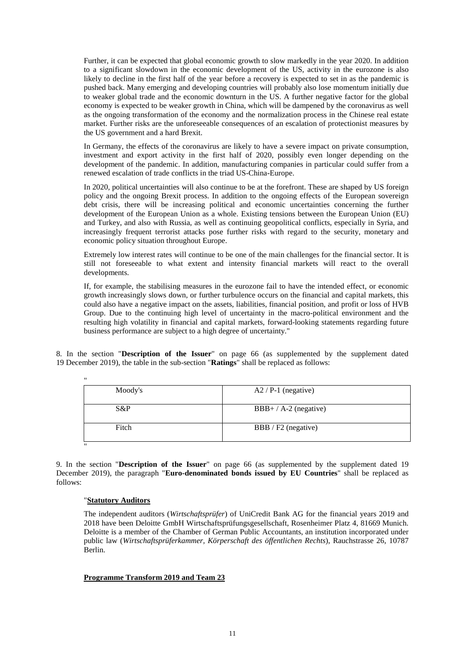Further, it can be expected that global economic growth to slow markedly in the year 2020. In addition to a significant slowdown in the economic development of the US, activity in the eurozone is also likely to decline in the first half of the year before a recovery is expected to set in as the pandemic is pushed back. Many emerging and developing countries will probably also lose momentum initially due to weaker global trade and the economic downturn in the US. A further negative factor for the global economy is expected to be weaker growth in China, which will be dampened by the coronavirus as well as the ongoing transformation of the economy and the normalization process in the Chinese real estate market. Further risks are the unforeseeable consequences of an escalation of protectionist measures by the US government and a hard Brexit.

In Germany, the effects of the coronavirus are likely to have a severe impact on private consumption, investment and export activity in the first half of 2020, possibly even longer depending on the development of the pandemic. In addition, manufacturing companies in particular could suffer from a renewed escalation of trade conflicts in the triad US-China-Europe.

In 2020, political uncertainties will also continue to be at the forefront. These are shaped by US foreign policy and the ongoing Brexit process. In addition to the ongoing effects of the European sovereign debt crisis, there will be increasing political and economic uncertainties concerning the further development of the European Union as a whole. Existing tensions between the European Union (EU) and Turkey, and also with Russia, as well as continuing geopolitical conflicts, especially in Syria, and increasingly frequent terrorist attacks pose further risks with regard to the security, monetary and economic policy situation throughout Europe.

Extremely low interest rates will continue to be one of the main challenges for the financial sector. It is still not foreseeable to what extent and intensity financial markets will react to the overall developments.

If, for example, the stabilising measures in the eurozone fail to have the intended effect, or economic growth increasingly slows down, or further turbulence occurs on the financial and capital markets, this could also have a negative impact on the assets, liabilities, financial position, and profit or loss of HVB Group. Due to the continuing high level of uncertainty in the macro-political environment and the resulting high volatility in financial and capital markets, forward-looking statements regarding future business performance are subject to a high degree of uncertainty."

8. In the section "**Description of the Issuer**" on page 66 (as supplemented by the supplement dated 19 December 2019), the table in the sub-section "**Ratings**" shall be replaced as follows:

| $^{\prime\prime}$ |                         |
|-------------------|-------------------------|
| Moody's           | $A2 / P-1$ (negative)   |
|                   |                         |
| S&P               | $BBB+ / A-2$ (negative) |
|                   |                         |
| Fitch             | BBB / F2 (negative)     |
|                   |                         |
| $^{\bullet}$      |                         |

9. In the section "**Description of the Issuer**" on page 66 (as supplemented by the supplement dated 19 December 2019), the paragraph "**Euro-denominated bonds issued by EU Countries**" shall be replaced as follows:

# "**Statutory Auditors**

The independent auditors (*Wirtschaftsprüfer*) of UniCredit Bank AG for the financial years 2019 and 2018 have been Deloitte GmbH Wirtschaftsprüfungsgesellschaft, Rosenheimer Platz 4, 81669 Munich. Deloitte is a member of the Chamber of German Public Accountants, an institution incorporated under public law (*Wirtschaftsprüferkammer, Körperschaft des öffentlichen Rechts*), Rauchstrasse 26, 10787 Berlin.

# **Programme Transform 2019 and Team 23**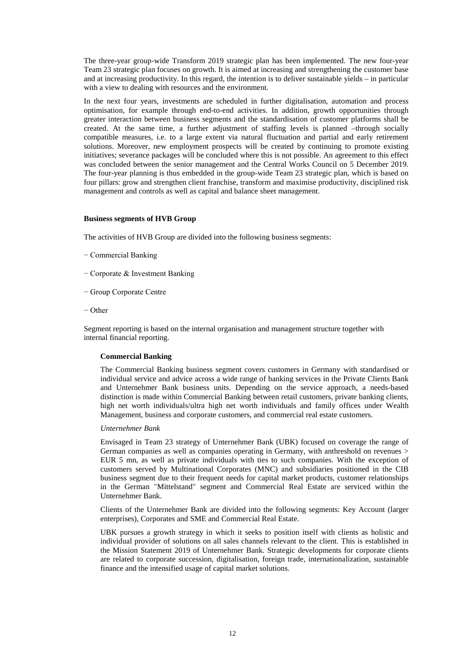The three-year group-wide Transform 2019 strategic plan has been implemented. The new four-year Team 23 strategic plan focuses on growth. It is aimed at increasing and strengthening the customer base and at increasing productivity. In this regard, the intention is to deliver sustainable yields – in particular with a view to dealing with resources and the environment.

In the next four years, investments are scheduled in further digitalisation, automation and process optimisation, for example through end-to-end activities. In addition, growth opportunities through greater interaction between business segments and the standardisation of customer platforms shall be created. At the same time, a further adjustment of staffing levels is planned –through socially compatible measures, i.e. to a large extent via natural fluctuation and partial and early retirement solutions. Moreover, new employment prospects will be created by continuing to promote existing initiatives; severance packages will be concluded where this is not possible. An agreement to this effect was concluded between the senior management and the Central Works Council on 5 December 2019. The four-year planning is thus embedded in the group-wide Team 23 strategic plan, which is based on four pillars: grow and strengthen client franchise, transform and maximise productivity, disciplined risk management and controls as well as capital and balance sheet management.

#### **Business segments of HVB Group**

The activities of HVB Group are divided into the following business segments:

- − Commercial Banking
- − Corporate & Investment Banking
- − Group Corporate Centre
- − Other

Segment reporting is based on the internal organisation and management structure together with internal financial reporting.

#### **Commercial Banking**

The Commercial Banking business segment covers customers in Germany with standardised or individual service and advice across a wide range of banking services in the Private Clients Bank and Unternehmer Bank business units. Depending on the service approach, a needs-based distinction is made within Commercial Banking between retail customers, private banking clients, high net worth individuals/ultra high net worth individuals and family offices under Wealth Management, business and corporate customers, and commercial real estate customers.

#### *Unternehmer Bank*

Envisaged in Team 23 strategy of Unternehmer Bank (UBK) focused on coverage the range of German companies as well as companies operating in Germany, with anthreshold on revenues > EUR 5 mn, as well as private individuals with ties to such companies. With the exception of customers served by Multinational Corporates (MNC) and subsidiaries positioned in the CIB business segment due to their frequent needs for capital market products, customer relationships in the German "Mittelstand" segment and Commercial Real Estate are serviced within the Unternehmer Bank.

Clients of the Unternehmer Bank are divided into the following segments: Key Account (larger enterprises), Corporates and SME and Commercial Real Estate.

UBK pursues a growth strategy in which it seeks to position itself with clients as holistic and individual provider of solutions on all sales channels relevant to the client. This is established in the Mission Statement 2019 of Unternehmer Bank. Strategic developments for corporate clients are related to corporate succession, digitalisation, foreign trade, internationalization, sustainable finance and the intensified usage of capital market solutions.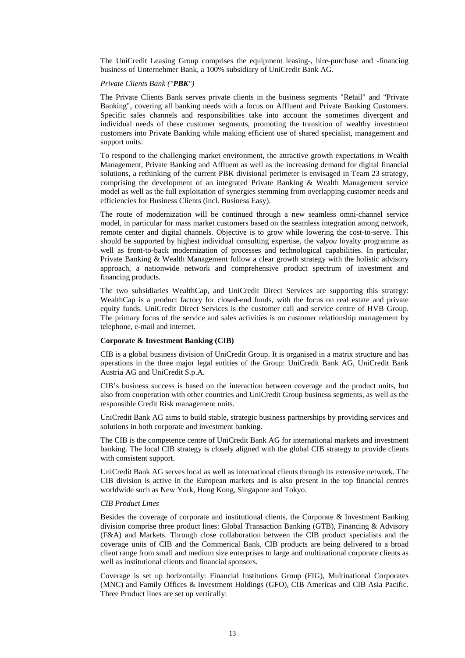The UniCredit Leasing Group comprises the equipment leasing-, hire-purchase and -financing business of Unternehmer Bank, a 100% subsidiary of UniCredit Bank AG.

### *Private Clients Bank ("PBK")*

The Private Clients Bank serves private clients in the business segments "Retail" and "Private Banking", covering all banking needs with a focus on Affluent and Private Banking Customers. Specific sales channels and responsibilities take into account the sometimes divergent and individual needs of these customer segments, promoting the transition of wealthy investment customers into Private Banking while making efficient use of shared specialist, management and support units.

To respond to the challenging market environment, the attractive growth expectations in Wealth Management, Private Banking and Affluent as well as the increasing demand for digital financial solutions, a rethinking of the current PBK divisional perimeter is envisaged in Team 23 strategy, comprising the development of an integrated Private Banking & Wealth Management service model as well as the full exploitation of synergies stemming from overlapping customer needs and efficiencies for Business Clients (incl. Business Easy).

The route of modernization will be continued through a new seamless omni-channel service model, in particular for mass market customers based on the seamless integration among network, remote center and digital channels. Objective is to grow while lowering the cost-to-serve. This should be supported by highest individual consulting expertise, the val*you* loyalty programme as well as front-to-back modernization of processes and technological capabilities. In particular, Private Banking & Wealth Management follow a clear growth strategy with the holistic advisory approach, a nationwide network and comprehensive product spectrum of investment and financing products.

The two subsidiaries WealthCap, and UniCredit Direct Services are supporting this strategy: WealthCap is a product factory for closed-end funds, with the focus on real estate and private equity funds. UniCredit Direct Services is the customer call and service centre of HVB Group. The primary focus of the service and sales activities is on customer relationship management by telephone, e-mail and internet.

### **Corporate & Investment Banking (CIB)**

CIB is a global business division of UniCredit Group. It is organised in a matrix structure and has operations in the three major legal entities of the Group: UniCredit Bank AG, UniCredit Bank Austria AG and UniCredit S.p.A.

CIB's business success is based on the interaction between coverage and the product units, but also from cooperation with other countries and UniCredit Group business segments, as well as the responsible Credit Risk management units.

UniCredit Bank AG aims to build stable, strategic business partnerships by providing services and solutions in both corporate and investment banking.

The CIB is the competence centre of UniCredit Bank AG for international markets and investment banking. The local CIB strategy is closely aligned with the global CIB strategy to provide clients with consistent support.

UniCredit Bank AG serves local as well as international clients through its extensive network. The CIB division is active in the European markets and is also present in the top financial centres worldwide such as New York, Hong Kong, Singapore and Tokyo.

#### *CIB Product Lines*

Besides the coverage of corporate and institutional clients, the Corporate & Investment Banking division comprise three product lines: Global Transaction Banking (GTB), Financing & Advisory (F&A) and Markets. Through close collaboration between the CIB product specialists and the coverage units of CIB and the Commerical Bank, CIB products are being delivered to a broad client range from small and medium size enterprises to large and multinational corporate clients as well as institutional clients and financial sponsors.

Coverage is set up horizontally: Financial Institutions Group (FIG), Multinational Corporates (MNC) and Family Offices & Investment Holdings (GFO), CIB Americas and CIB Asia Pacific. Three Product lines are set up vertically: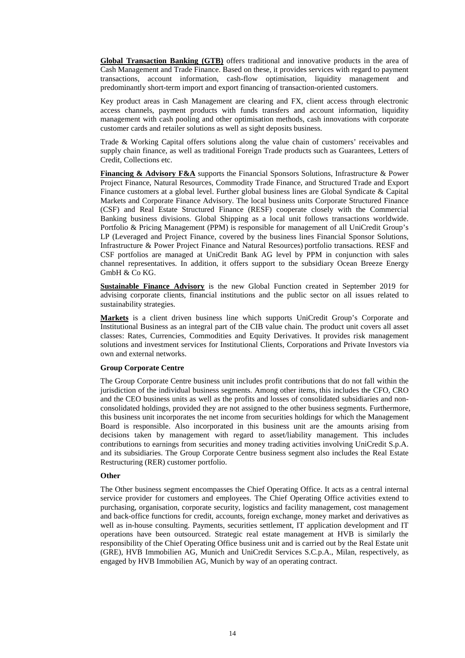**Global Transaction Banking (GTB)** offers traditional and innovative products in the area of Cash Management and Trade Finance. Based on these, it provides services with regard to payment transactions, account information, cash-flow optimisation, liquidity management and predominantly short-term import and export financing of transaction-oriented customers.

Key product areas in Cash Management are clearing and FX, client access through electronic access channels, payment products with funds transfers and account information, liquidity management with cash pooling and other optimisation methods, cash innovations with corporate customer cards and retailer solutions as well as sight deposits business.

Trade & Working Capital offers solutions along the value chain of customers' receivables and supply chain finance, as well as traditional Foreign Trade products such as Guarantees, Letters of Credit, Collections etc.

**Financing & Advisory F&A** supports the Financial Sponsors Solutions, Infrastructure & Power Project Finance, Natural Resources, Commodity Trade Finance, and Structured Trade and Export Finance customers at a global level. Further global business lines are Global Syndicate & Capital Markets and Corporate Finance Advisory. The local business units Corporate Structured Finance (CSF) and Real Estate Structured Finance (RESF) cooperate closely with the Commercial Banking business divisions. Global Shipping as a local unit follows transactions worldwide. Portfolio & Pricing Management (PPM) is responsible for management of all UniCredit Group's LP (Leveraged and Project Finance, covered by the business lines Financial Sponsor Solutions, Infrastructure & Power Project Finance and Natural Resources) portfolio transactions. RESF and CSF portfolios are managed at UniCredit Bank AG level by PPM in conjunction with sales channel representatives. In addition, it offers support to the subsidiary Ocean Breeze Energy  $Gm$ <sub>b</sub>H & C<sub>o</sub> K $G$ .

**Sustainable Finance Advisory** is the new Global Function created in September 2019 for advising corporate clients, financial institutions and the public sector on all issues related to sustainability strategies.

**Markets** is a client driven business line which supports UniCredit Group's Corporate and Institutional Business as an integral part of the CIB value chain. The product unit covers all asset classes: Rates, Currencies, Commodities and Equity Derivatives. It provides risk management solutions and investment services for Institutional Clients, Corporations and Private Investors via own and external networks.

#### **Group Corporate Centre**

The Group Corporate Centre business unit includes profit contributions that do not fall within the jurisdiction of the individual business segments. Among other items, this includes the CFO, CRO and the CEO business units as well as the profits and losses of consolidated subsidiaries and nonconsolidated holdings, provided they are not assigned to the other business segments. Furthermore, this business unit incorporates the net income from securities holdings for which the Management Board is responsible. Also incorporated in this business unit are the amounts arising from decisions taken by management with regard to asset/liability management. This includes contributions to earnings from securities and money trading activities involving UniCredit S.p.A. and its subsidiaries. The Group Corporate Centre business segment also includes the Real Estate Restructuring (RER) customer portfolio.

### **Other**

The Other business segment encompasses the Chief Operating Office. It acts as a central internal service provider for customers and employees. The Chief Operating Office activities extend to purchasing, organisation, corporate security, logistics and facility management, cost management and back-office functions for credit, accounts, foreign exchange, money market and derivatives as well as in-house consulting. Payments, securities settlement, IT application development and IT operations have been outsourced. Strategic real estate management at HVB is similarly the responsibility of the Chief Operating Office business unit and is carried out by the Real Estate unit (GRE), HVB Immobilien AG, Munich and UniCredit Services S.C.p.A., Milan, respectively, as engaged by HVB Immobilien AG, Munich by way of an operating contract.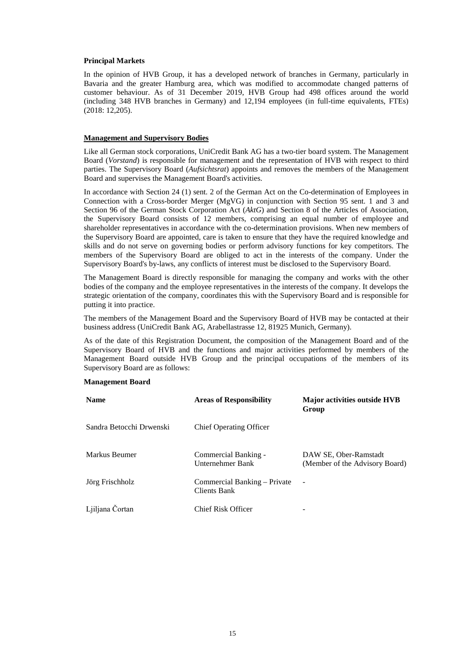### **Principal Markets**

In the opinion of HVB Group, it has a developed network of branches in Germany, particularly in Bavaria and the greater Hamburg area, which was modified to accommodate changed patterns of customer behaviour. As of 31 December 2019, HVB Group had 498 offices around the world (including 348 HVB branches in Germany) and 12,194 employees (in full-time equivalents, FTEs) (2018: 12,205).

### **Management and Supervisory Bodies**

Like all German stock corporations, UniCredit Bank AG has a two-tier board system. The Management Board (*Vorstand*) is responsible for management and the representation of HVB with respect to third parties. The Supervisory Board (*Aufsichtsrat*) appoints and removes the members of the Management Board and supervises the Management Board's activities.

In accordance with Section 24 (1) sent. 2 of the German Act on the Co-determination of Employees in Connection with a Cross-border Merger (MgVG) in conjunction with Section 95 sent. 1 and 3 and Section 96 of the German Stock Corporation Act (*AktG*) and Section 8 of the Articles of Association, the Supervisory Board consists of 12 members, comprising an equal number of employee and shareholder representatives in accordance with the co-determination provisions. When new members of the Supervisory Board are appointed, care is taken to ensure that they have the required knowledge and skills and do not serve on governing bodies or perform advisory functions for key competitors. The members of the Supervisory Board are obliged to act in the interests of the company. Under the Supervisory Board's by-laws, any conflicts of interest must be disclosed to the Supervisory Board.

The Management Board is directly responsible for managing the company and works with the other bodies of the company and the employee representatives in the interests of the company. It develops the strategic orientation of the company, coordinates this with the Supervisory Board and is responsible for putting it into practice.

The members of the Management Board and the Supervisory Board of HVB may be contacted at their business address (UniCredit Bank AG, Arabellastrasse 12, 81925 Munich, Germany).

As of the date of this Registration Document, the composition of the Management Board and of the Supervisory Board of HVB and the functions and major activities performed by members of the Management Board outside HVB Group and the principal occupations of the members of its Supervisory Board are as follows:

### **Management Board**

| <b>Name</b>              | <b>Areas of Responsibility</b>               | <b>Major activities outside HVB</b><br>Group            |
|--------------------------|----------------------------------------------|---------------------------------------------------------|
| Sandra Betocchi Drwenski | <b>Chief Operating Officer</b>               |                                                         |
| Markus Beumer            | Commercial Banking -<br>Unternehmer Bank     | DAW SE, Ober-Ramstadt<br>(Member of the Advisory Board) |
| Jörg Frischholz          | Commercial Banking – Private<br>Clients Bank |                                                         |
| Ljiljana Čortan          | Chief Risk Officer                           |                                                         |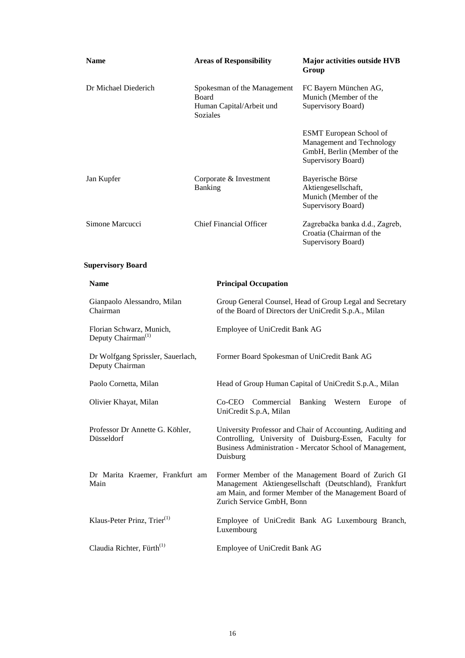| <b>Name</b>                                                | <b>Areas of Responsibility</b>                                               | Major activities outside HVB<br>Group                                                                                                                                                              |  |
|------------------------------------------------------------|------------------------------------------------------------------------------|----------------------------------------------------------------------------------------------------------------------------------------------------------------------------------------------------|--|
| Dr Michael Diederich                                       | Spokesman of the Management<br>Board<br>Human Capital/Arbeit und<br>Soziales | FC Bayern München AG,<br>Munich (Member of the<br>Supervisory Board)                                                                                                                               |  |
|                                                            |                                                                              | <b>ESMT</b> European School of<br>Management and Technology<br>GmbH, Berlin (Member of the<br>Supervisory Board)                                                                                   |  |
| Jan Kupfer                                                 | Corporate & Investment<br>Banking                                            | Bayerische Börse<br>Aktiengesellschaft,<br>Munich (Member of the<br>Supervisory Board)                                                                                                             |  |
| Simone Marcucci                                            | <b>Chief Financial Officer</b>                                               | Zagrebačka banka d.d., Zagreb,<br>Croatia (Chairman of the<br>Supervisory Board)                                                                                                                   |  |
| <b>Supervisory Board</b>                                   |                                                                              |                                                                                                                                                                                                    |  |
| <b>Name</b>                                                | <b>Principal Occupation</b>                                                  |                                                                                                                                                                                                    |  |
| Gianpaolo Alessandro, Milan<br>Chairman                    |                                                                              | Group General Counsel, Head of Group Legal and Secretary<br>of the Board of Directors der UniCredit S.p.A., Milan                                                                                  |  |
| Florian Schwarz, Munich,<br>Deputy Chairman <sup>(1)</sup> |                                                                              | Employee of UniCredit Bank AG                                                                                                                                                                      |  |
| Dr Wolfgang Sprissler, Sauerlach,<br>Deputy Chairman       |                                                                              | Former Board Spokesman of UniCredit Bank AG                                                                                                                                                        |  |
| Paolo Cornetta, Milan                                      |                                                                              | Head of Group Human Capital of UniCredit S.p.A., Milan                                                                                                                                             |  |
| Olivier Khayat, Milan                                      | UniCredit S.p.A, Milan                                                       | Co-CEO Commercial Banking Western Europe of                                                                                                                                                        |  |
| Professor Dr Annette G. Köhler,<br>Düsseldorf              | Duisburg                                                                     | University Professor and Chair of Accounting, Auditing and<br>Controlling, University of Duisburg-Essen, Faculty for<br>Business Administration - Mercator School of Management,                   |  |
| Dr Marita Kraemer, Frankfurt am<br>Main                    |                                                                              | Former Member of the Management Board of Zurich GI<br>Management Aktiengesellschaft (Deutschland), Frankfurt<br>am Main, and former Member of the Management Board of<br>Zurich Service GmbH, Bonn |  |
| Klaus-Peter Prinz, Trier <sup>(1)</sup>                    | Luxembourg                                                                   | Employee of UniCredit Bank AG Luxembourg Branch,                                                                                                                                                   |  |
| Claudia Richter, Fürth <sup>(1)</sup>                      |                                                                              | Employee of UniCredit Bank AG                                                                                                                                                                      |  |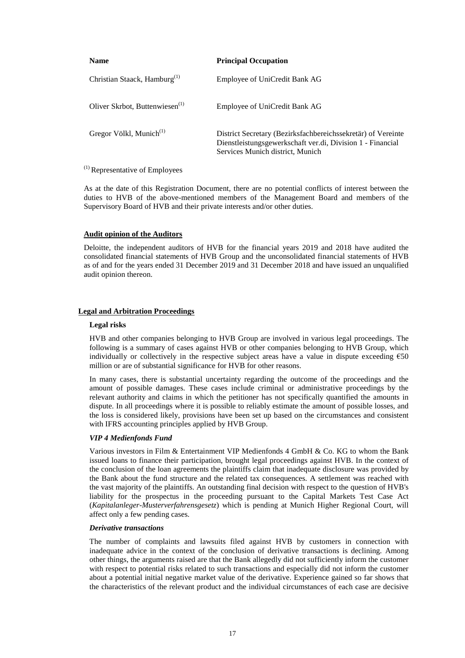| <b>Name</b>                                | <b>Principal Occupation</b>                                                                                                                                    |
|--------------------------------------------|----------------------------------------------------------------------------------------------------------------------------------------------------------------|
| Christian Staack, Hamburg <sup>(1)</sup>   | Employee of UniCredit Bank AG                                                                                                                                  |
| Oliver Skrbot, Buttenwiesen <sup>(1)</sup> | Employee of UniCredit Bank AG                                                                                                                                  |
| Gregor Völkl, Munich <sup>(1)</sup>        | District Secretary (Bezirksfachbereichssekretär) of Vereinte<br>Dienstleistungsgewerkschaft ver.di, Division 1 - Financial<br>Services Munich district, Munich |

# $<sup>(1)</sup>$  Representative of Employees</sup>

As at the date of this Registration Document, there are no potential conflicts of interest between the duties to HVB of the above-mentioned members of the Management Board and members of the Supervisory Board of HVB and their private interests and/or other duties.

### **Audit opinion of the Auditors**

Deloitte, the independent auditors of HVB for the financial years 2019 and 2018 have audited the consolidated financial statements of HVB Group and the unconsolidated financial statements of HVB as of and for the years ended 31 December 2019 and 31 December 2018 and have issued an unqualified audit opinion thereon.

# **Legal and Arbitration Proceedings**

### **Legal risks**

HVB and other companies belonging to HVB Group are involved in various legal proceedings. The following is a summary of cases against HVB or other companies belonging to HVB Group, which individually or collectively in the respective subject areas have a value in dispute exceeding  $\epsilon$ 50 million or are of substantial significance for HVB for other reasons.

In many cases, there is substantial uncertainty regarding the outcome of the proceedings and the amount of possible damages. These cases include criminal or administrative proceedings by the relevant authority and claims in which the petitioner has not specifically quantified the amounts in dispute. In all proceedings where it is possible to reliably estimate the amount of possible losses, and the loss is considered likely, provisions have been set up based on the circumstances and consistent with IFRS accounting principles applied by HVB Group.

# *VIP 4 Medienfonds Fund*

Various investors in Film & Entertainment VIP Medienfonds 4 GmbH & Co. KG to whom the Bank issued loans to finance their participation, brought legal proceedings against HVB. In the context of the conclusion of the loan agreements the plaintiffs claim that inadequate disclosure was provided by the Bank about the fund structure and the related tax consequences. A settlement was reached with the vast majority of the plaintiffs. An outstanding final decision with respect to the question of HVB's liability for the prospectus in the proceeding pursuant to the Capital Markets Test Case Act (*Kapitalanleger-Musterverfahrensgesetz*) which is pending at Munich Higher Regional Court, will affect only a few pending cases.

#### *Derivative transactions*

The number of complaints and lawsuits filed against HVB by customers in connection with inadequate advice in the context of the conclusion of derivative transactions is declining. Among other things, the arguments raised are that the Bank allegedly did not sufficiently inform the customer with respect to potential risks related to such transactions and especially did not inform the customer about a potential initial negative market value of the derivative. Experience gained so far shows that the characteristics of the relevant product and the individual circumstances of each case are decisive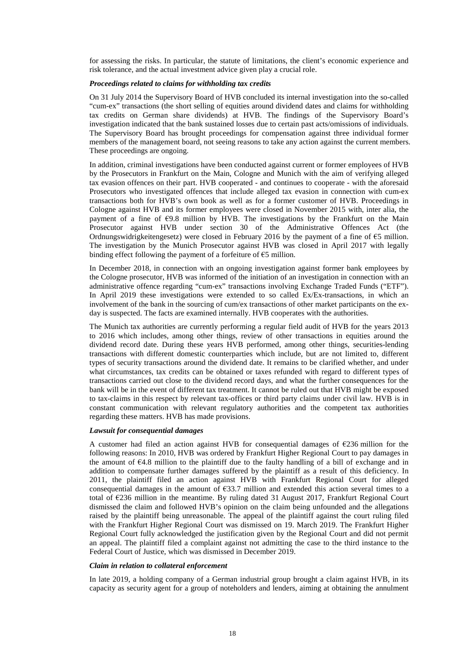for assessing the risks. In particular, the statute of limitations, the client's economic experience and risk tolerance, and the actual investment advice given play a crucial role.

### *Proceedings related to claims for withholding tax credits*

On 31 July 2014 the Supervisory Board of HVB concluded its internal investigation into the so-called "cum-ex" transactions (the short selling of equities around dividend dates and claims for withholding tax credits on German share dividends) at HVB. The findings of the Supervisory Board's investigation indicated that the bank sustained losses due to certain past acts/omissions of individuals. The Supervisory Board has brought proceedings for compensation against three individual former members of the management board, not seeing reasons to take any action against the current members. These proceedings are ongoing.

In addition, criminal investigations have been conducted against current or former employees of HVB by the Prosecutors in Frankfurt on the Main, Cologne and Munich with the aim of verifying alleged tax evasion offences on their part. HVB cooperated - and continues to cooperate - with the aforesaid Prosecutors who investigated offences that include alleged tax evasion in connection with cum-ex transactions both for HVB's own book as well as for a former customer of HVB. Proceedings in Cologne against HVB and its former employees were closed in November 2015 with, inter alia, the payment of a fine of  $\epsilon$ 9.8 million by HVB. The investigations by the Frankfurt on the Main Prosecutor against HVB under section 30 of the Administrative Offences Act (the Ordnungswidrigkeitengesetz) were closed in February 2016 by the payment of a fine of  $\epsilon$ 5 million. The investigation by the Munich Prosecutor against HVB was closed in April 2017 with legally binding effect following the payment of a forfeiture of  $\epsilon$ 5 million.

In December 2018, in connection with an ongoing investigation against former bank employees by the Cologne prosecutor, HVB was informed of the initiation of an investigation in connection with an administrative offence regarding "cum-ex" transactions involving Exchange Traded Funds ("ETF"). In April 2019 these investigations were extended to so called Ex/Ex-transactions, in which an involvement of the bank in the sourcing of cum/ex transactions of other market participants on the exday is suspected. The facts are examined internally. HVB cooperates with the authorities.

The Munich tax authorities are currently performing a regular field audit of HVB for the years 2013 to 2016 which includes, among other things, review of other transactions in equities around the dividend record date. During these years HVB performed, among other things, securities-lending transactions with different domestic counterparties which include, but are not limited to, different types of security transactions around the dividend date. It remains to be clarified whether, and under what circumstances, tax credits can be obtained or taxes refunded with regard to different types of transactions carried out close to the dividend record days, and what the further consequences for the bank will be in the event of different tax treatment. It cannot be ruled out that HVB might be exposed to tax-claims in this respect by relevant tax-offices or third party claims under civil law. HVB is in constant communication with relevant regulatory authorities and the competent tax authorities regarding these matters. HVB has made provisions.

#### *Lawsuit for consequential damages*

A customer had filed an action against HVB for consequential damages of  $\epsilon$ 236 million for the following reasons: In 2010, HVB was ordered by Frankfurt Higher Regional Court to pay damages in the amount of €4.8 million to the plaintiff due to the faulty handling of a bill of exchange and in addition to compensate further damages suffered by the plaintiff as a result of this deficiency. In 2011, the plaintiff filed an action against HVB with Frankfurt Regional Court for alleged consequential damages in the amount of  $\epsilon$ 33.7 million and extended this action several times to a total of €236 million in the meantime. By ruling dated 31 August 2017, Frankfurt Regional Court dismissed the claim and followed HVB's opinion on the claim being unfounded and the allegations raised by the plaintiff being unreasonable. The appeal of the plaintiff against the court ruling filed with the Frankfurt Higher Regional Court was dismissed on 19. March 2019. The Frankfurt Higher Regional Court fully acknowledged the justification given by the Regional Court and did not permit an appeal. The plaintiff filed a complaint against not admitting the case to the third instance to the Federal Court of Justice, which was dismissed in December 2019.

#### *Claim in relation to collateral enforcement*

In late 2019, a holding company of a German industrial group brought a claim against HVB, in its capacity as security agent for a group of noteholders and lenders, aiming at obtaining the annulment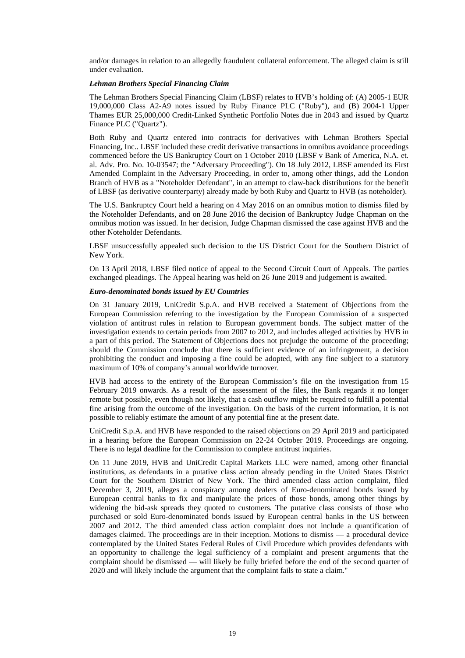and/or damages in relation to an allegedly fraudulent collateral enforcement. The alleged claim is still under evaluation.

### *Lehman Brothers Special Financing Claim*

The Lehman Brothers Special Financing Claim (LBSF) relates to HVB's holding of: (A) 2005-1 EUR 19,000,000 Class A2-A9 notes issued by Ruby Finance PLC ("Ruby"), and (B) 2004-1 Upper Thames EUR 25,000,000 Credit-Linked Synthetic Portfolio Notes due in 2043 and issued by Quartz Finance PLC ("Quartz").

Both Ruby and Quartz entered into contracts for derivatives with Lehman Brothers Special Financing, Inc.. LBSF included these credit derivative transactions in omnibus avoidance proceedings commenced before the US Bankruptcy Court on 1 October 2010 (LBSF v Bank of America, N.A. et. al. Adv. Pro. No. 10-03547; the "Adversary Proceeding"). On 18 July 2012, LBSF amended its First Amended Complaint in the Adversary Proceeding, in order to, among other things, add the London Branch of HVB as a "Noteholder Defendant", in an attempt to claw-back distributions for the benefit of LBSF (as derivative counterparty) already made by both Ruby and Quartz to HVB (as noteholder).

The U.S. Bankruptcy Court held a hearing on 4 May 2016 on an omnibus motion to dismiss filed by the Noteholder Defendants, and on 28 June 2016 the decision of Bankruptcy Judge Chapman on the omnibus motion was issued. In her decision, Judge Chapman dismissed the case against HVB and the other Noteholder Defendants.

LBSF unsuccessfully appealed such decision to the US District Court for the Southern District of New York.

On 13 April 2018, LBSF filed notice of appeal to the Second Circuit Court of Appeals. The parties exchanged pleadings. The Appeal hearing was held on 26 June 2019 and judgement is awaited.

### *Euro-denominated bonds issued by EU Countries*

On 31 January 2019, UniCredit S.p.A. and HVB received a Statement of Objections from the European Commission referring to the investigation by the European Commission of a suspected violation of antitrust rules in relation to European government bonds. The subject matter of the investigation extends to certain periods from 2007 to 2012, and includes alleged activities by HVB in a part of this period. The Statement of Objections does not prejudge the outcome of the proceeding; should the Commission conclude that there is sufficient evidence of an infringement, a decision prohibiting the conduct and imposing a fine could be adopted, with any fine subject to a statutory maximum of 10% of company's annual worldwide turnover.

HVB had access to the entirety of the European Commission's file on the investigation from 15 February 2019 onwards. As a result of the assessment of the files, the Bank regards it no longer remote but possible, even though not likely, that a cash outflow might be required to fulfill a potential fine arising from the outcome of the investigation. On the basis of the current information, it is not possible to reliably estimate the amount of any potential fine at the present date.

UniCredit S.p.A. and HVB have responded to the raised objections on 29 April 2019 and participated in a hearing before the European Commission on 22-24 October 2019. Proceedings are ongoing. There is no legal deadline for the Commission to complete antitrust inquiries.

On 11 June 2019, HVB and UniCredit Capital Markets LLC were named, among other financial institutions, as defendants in a putative class action already pending in the United States District Court for the Southern District of New York. The third amended class action complaint, filed December 3, 2019, alleges a conspiracy among dealers of Euro-denominated bonds issued by European central banks to fix and manipulate the prices of those bonds, among other things by widening the bid-ask spreads they quoted to customers. The putative class consists of those who purchased or sold Euro-denominated bonds issued by European central banks in the US between 2007 and 2012. The third amended class action complaint does not include a quantification of damages claimed. The proceedings are in their inception. Motions to dismiss — a procedural device contemplated by the United States Federal Rules of Civil Procedure which provides defendants with an opportunity to challenge the legal sufficiency of a complaint and present arguments that the complaint should be dismissed — will likely be fully briefed before the end of the second quarter of 2020 and will likely include the argument that the complaint fails to state a claim."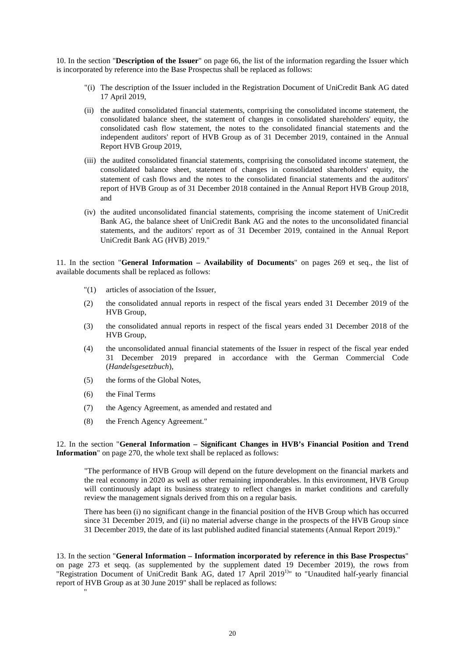10. In the section "**Description of the Issuer**" on page 66, the list of the information regarding the Issuer which is incorporated by reference into the Base Prospectus shall be replaced as follows:

- "(i) The description of the Issuer included in the Registration Document of UniCredit Bank AG dated 17 April 2019,
- (ii) the audited consolidated financial statements, comprising the consolidated income statement, the consolidated balance sheet, the statement of changes in consolidated shareholders' equity, the consolidated cash flow statement, the notes to the consolidated financial statements and the independent auditors' report of HVB Group as of 31 December 2019, contained in the Annual Report HVB Group 2019,
- (iii) the audited consolidated financial statements, comprising the consolidated income statement, the consolidated balance sheet, statement of changes in consolidated shareholders' equity, the statement of cash flows and the notes to the consolidated financial statements and the auditors' report of HVB Group as of 31 December 2018 contained in the Annual Report HVB Group 2018, and
- (iv) the audited unconsolidated financial statements, comprising the income statement of UniCredit Bank AG, the balance sheet of UniCredit Bank AG and the notes to the unconsolidated financial statements, and the auditors' report as of 31 December 2019, contained in the Annual Report UniCredit Bank AG (HVB) 2019."

11. In the section "**General Information – Availability of Documents**" on pages 269 et seq., the list of available documents shall be replaced as follows:

- "(1) articles of association of the Issuer,
- (2) the consolidated annual reports in respect of the fiscal years ended 31 December 2019 of the HVB Group,
- (3) the consolidated annual reports in respect of the fiscal years ended 31 December 2018 of the HVB Group,
- (4) the unconsolidated annual financial statements of the Issuer in respect of the fiscal year ended 31 December 2019 prepared in accordance with the German Commercial Code (*Handelsgesetzbuch*),
- (5) the forms of the Global Notes,
- (6) the Final Terms

"

- (7) the Agency Agreement, as amended and restated and
- (8) the French Agency Agreement."

12. In the section "**General Information – Significant Changes in HVB's Financial Position and Trend Information**" on page 270, the whole text shall be replaced as follows:

"The performance of HVB Group will depend on the future development on the financial markets and the real economy in 2020 as well as other remaining imponderables. In this environment, HVB Group will continuously adapt its business strategy to reflect changes in market conditions and carefully review the management signals derived from this on a regular basis.

There has been (i) no significant change in the financial position of the HVB Group which has occurred since 31 December 2019, and (ii) no material adverse change in the prospects of the HVB Group since 31 December 2019, the date of its last published audited financial statements (Annual Report 2019)."

13. In the section "**General Information – Information incorporated by reference in this Base Prospectus**" on page 273 et seqq. (as supplemented by the supplement dated 19 December 2019), the rows from "Registration Document of UniCredit Bank AG, dated 17 April 2019<sup>1)</sup>" to "Unaudited half-yearly financial report of HVB Group as at 30 June 2019" shall be replaced as follows: